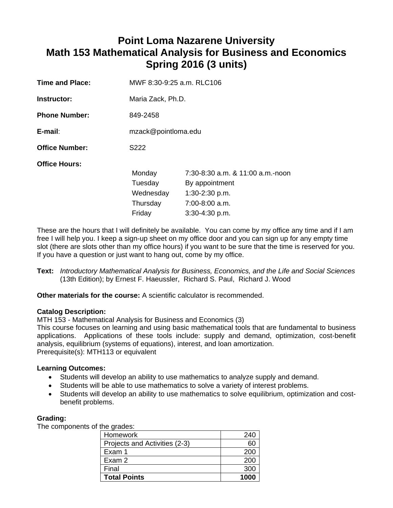# **Point Loma Nazarene University Math 153 Mathematical Analysis for Business and Economics Spring 2016 (3 units)**

| MWF 8:30-9:25 a.m. RLC106                            |                                                                                                                |  |
|------------------------------------------------------|----------------------------------------------------------------------------------------------------------------|--|
| Maria Zack, Ph.D.                                    |                                                                                                                |  |
| 849-2458                                             |                                                                                                                |  |
| mzack@pointloma.edu                                  |                                                                                                                |  |
| S222                                                 |                                                                                                                |  |
| Monday<br>Tuesday<br>Wednesday<br>Thursday<br>Friday | $7:30-8:30$ a.m. & 11:00 a.m.-noon<br>By appointment<br>$1:30-2:30$ p.m.<br>7:00-8:00 a.m.<br>$3:30-4:30 p.m.$ |  |
|                                                      |                                                                                                                |  |

These are the hours that I will definitely be available. You can come by my office any time and if I am free I will help you. I keep a sign-up sheet on my office door and you can sign up for any empty time slot (there are slots other than my office hours) if you want to be sure that the time is reserved for you. If you have a question or just want to hang out, come by my office.

**Text:** *Introductory Mathematical Analysis for Business, Economics, and the Life and Social Sciences* (13th Edition); by Ernest F. Haeussler, Richard S. Paul, Richard J. Wood

**Other materials for the course:** A scientific calculator is recommended.

# **Catalog Description:**

MTH 153 - Mathematical Analysis for Business and Economics (3)

This course focuses on learning and using basic mathematical tools that are fundamental to business applications. Applications of these tools include: supply and demand, optimization, cost-benefit analysis, equilibrium (systems of equations), interest, and loan amortization. Prerequisite(s): MTH113 or equivalent

# **Learning Outcomes:**

- Students will develop an ability to use mathematics to analyze supply and demand.
- Students will be able to use mathematics to solve a variety of interest problems.
- Students will develop an ability to use mathematics to solve equilibrium, optimization and costbenefit problems.

# **Grading:**

The components of the grades:

| Homework                      | 240  |
|-------------------------------|------|
| Projects and Activities (2-3) | 60   |
| Exam 1                        | 200  |
| Exam 2                        | 200  |
| Final                         | 300  |
| <b>Total Points</b>           | 1000 |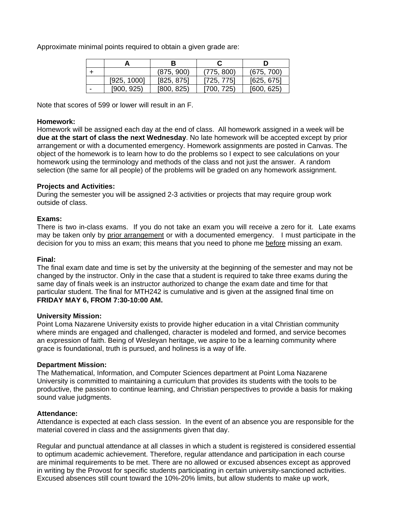Approximate minimal points required to obtain a given grade are:

|             | (875, 900) | (775, 800) | (675, 700) |
|-------------|------------|------------|------------|
| [925, 1000] | [825, 875] | [725, 775] | [625, 675] |
| [900, 925)  | [800, 825] | 1700, 725) | [600, 625] |

Note that scores of 599 or lower will result in an F.

#### **Homework:**

Homework will be assigned each day at the end of class. All homework assigned in a week will be **due at the start of class the next Wednesday**. No late homework will be accepted except by prior arrangement or with a documented emergency. Homework assignments are posted in Canvas. The object of the homework is to learn how to do the problems so I expect to see calculations on your homework using the terminology and methods of the class and not just the answer. A random selection (the same for all people) of the problems will be graded on any homework assignment.

## **Projects and Activities:**

During the semester you will be assigned 2-3 activities or projects that may require group work outside of class.

## **Exams:**

There is two in-class exams. If you do not take an exam you will receive a zero for it. Late exams may be taken only by prior arrangement or with a documented emergency. I must participate in the decision for you to miss an exam; this means that you need to phone me before missing an exam.

#### **Final:**

The final exam date and time is set by the university at the beginning of the semester and may not be changed by the instructor. Only in the case that a student is required to take three exams during the same day of finals week is an instructor authorized to change the exam date and time for that particular student. The final for MTH242 is cumulative and is given at the assigned final time on **FRIDAY MAY 6, FROM 7:30-10:00 AM.**

#### **University Mission:**

Point Loma Nazarene University exists to provide higher education in a vital Christian community where minds are engaged and challenged, character is modeled and formed, and service becomes an expression of faith. Being of Wesleyan heritage, we aspire to be a learning community where grace is foundational, truth is pursued, and holiness is a way of life.

#### **Department Mission:**

The Mathematical, Information, and Computer Sciences department at Point Loma Nazarene University is committed to maintaining a curriculum that provides its students with the tools to be productive, the passion to continue learning, and Christian perspectives to provide a basis for making sound value judgments.

#### **Attendance:**

Attendance is expected at each class session. In the event of an absence you are responsible for the material covered in class and the assignments given that day.

Regular and punctual attendance at all classes in which a student is registered is considered essential to optimum academic achievement. Therefore, regular attendance and participation in each course are minimal requirements to be met. There are no allowed or excused absences except as approved in writing by the Provost for specific students participating in certain university-sanctioned activities. Excused absences still count toward the 10%-20% limits, but allow students to make up work,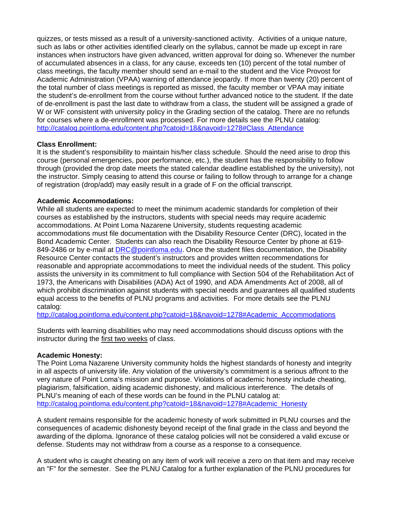quizzes, or tests missed as a result of a university-sanctioned activity. Activities of a unique nature, such as labs or other activities identified clearly on the syllabus, cannot be made up except in rare instances when instructors have given advanced, written approval for doing so. Whenever the number of accumulated absences in a class, for any cause, exceeds ten (10) percent of the total number of class meetings, the faculty member should send an e-mail to the student and the Vice Provost for Academic Administration (VPAA) warning of attendance jeopardy. If more than twenty (20) percent of the total number of class meetings is reported as missed, the faculty member or VPAA may initiate the student's de-enrollment from the course without further advanced notice to the student. If the date of de-enrollment is past the last date to withdraw from a class, the student will be assigned a grade of W or WF consistent with university policy in the Grading section of the catalog. There are no refunds for courses where a de-enrollment was processed. For more details see the PLNU catalog: http://catalog.pointloma.edu/content.php?catoid=18&navoid=1278#Class\_Attendance

# **Class Enrollment:**

It is the student's responsibility to maintain his/her class schedule. Should the need arise to drop this course (personal emergencies, poor performance, etc.), the student has the responsibility to follow through (provided the drop date meets the stated calendar deadline established by the university), not the instructor. Simply ceasing to attend this course or failing to follow through to arrange for a change of registration (drop/add) may easily result in a grade of F on the official transcript.

# **Academic Accommodations:**

While all students are expected to meet the minimum academic standards for completion of their courses as established by the instructors, students with special needs may require academic accommodations. At Point Loma Nazarene University, students requesting academic accommodations must file documentation with the Disability Resource Center (DRC), located in the Bond Academic Center. Students can also reach the Disability Resource Center by phone at 619- 849-2486 or by e-mail at DRC@pointloma.edu. Once the student files documentation, the Disability Resource Center contacts the student's instructors and provides written recommendations for reasonable and appropriate accommodations to meet the individual needs of the student. This policy assists the university in its commitment to full compliance with Section 504 of the Rehabilitation Act of 1973, the Americans with Disabilities (ADA) Act of 1990, and ADA Amendments Act of 2008, all of which prohibit discrimination against students with special needs and guarantees all qualified students equal access to the benefits of PLNU programs and activities. For more details see the PLNU catalog:

http://catalog.pointloma.edu/content.php?catoid=18&navoid=1278#Academic\_Accommodations

Students with learning disabilities who may need accommodations should discuss options with the instructor during the first two weeks of class.

# **Academic Honesty:**

The Point Loma Nazarene University community holds the highest standards of honesty and integrity in all aspects of university life. Any violation of the university's commitment is a serious affront to the very nature of Point Loma's mission and purpose. Violations of academic honesty include cheating, plagiarism, falsification, aiding academic dishonesty, and malicious interference. The details of PLNU's meaning of each of these words can be found in the PLNU catalog at: http://catalog.pointloma.edu/content.php?catoid=18&navoid=1278#Academic\_Honesty

A student remains responsible for the academic honesty of work submitted in PLNU courses and the consequences of academic dishonesty beyond receipt of the final grade in the class and beyond the awarding of the diploma. Ignorance of these catalog policies will not be considered a valid excuse or defense. Students may not withdraw from a course as a response to a consequence.

A student who is caught cheating on any item of work will receive a zero on that item and may receive an "F" for the semester. See the PLNU Catalog for a further explanation of the PLNU procedures for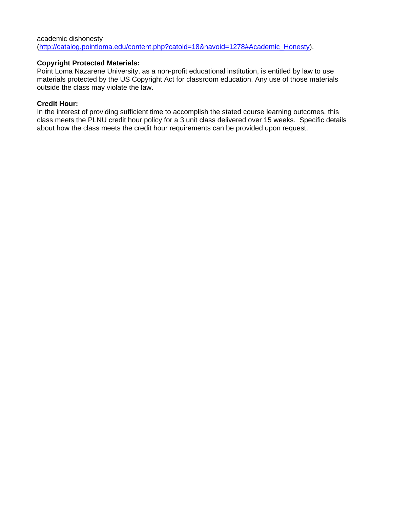academic dishonesty (http://catalog.pointloma.edu/content.php?catoid=18&navoid=1278#Academic\_Honesty).

## **Copyright Protected Materials:**

Point Loma Nazarene University, as a non-profit educational institution, is entitled by law to use materials protected by the US Copyright Act for classroom education. Any use of those materials outside the class may violate the law.

#### **Credit Hour:**

In the interest of providing sufficient time to accomplish the stated course learning outcomes, this class meets the PLNU credit hour policy for a 3 unit class delivered over 15 weeks. Specific details about how the class meets the credit hour requirements can be provided upon request.